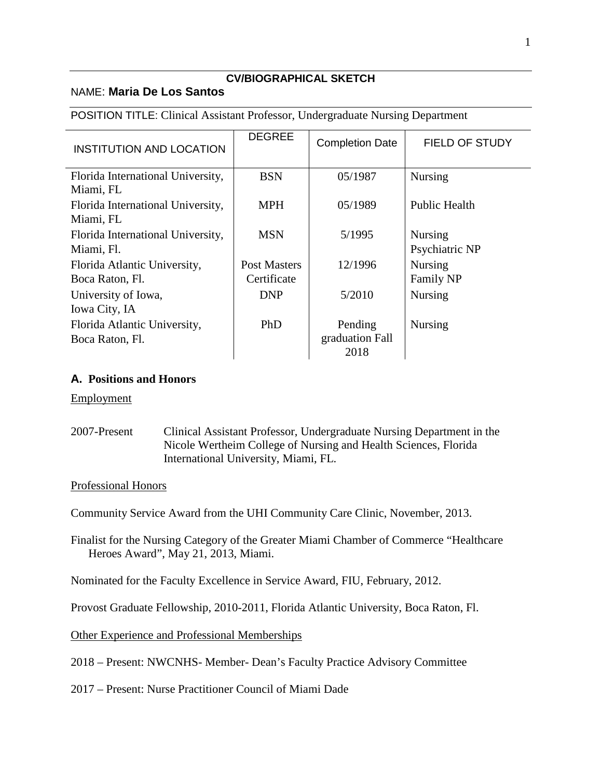### **CV/BIOGRAPHICAL SKETCH**

## NAME: **Maria De Los Santos**

## POSITION TITLE: Clinical Assistant Professor, Undergraduate Nursing Department

| <b>INSTITUTION AND LOCATION</b>                 | <b>DEGREE</b>       | <b>Completion Date</b>             | <b>FIELD OF STUDY</b> |
|-------------------------------------------------|---------------------|------------------------------------|-----------------------|
| Florida International University,<br>Miami, FL  | <b>BSN</b>          | 05/1987                            | Nursing               |
| Florida International University,<br>Miami, FL  | <b>MPH</b>          | 05/1989                            | <b>Public Health</b>  |
| Florida International University,               | <b>MSN</b>          | 5/1995                             | <b>Nursing</b>        |
| Miami, Fl.                                      |                     |                                    | Psychiatric NP        |
| Florida Atlantic University,                    | <b>Post Masters</b> | 12/1996                            | Nursing               |
| Boca Raton, Fl.                                 | Certificate         |                                    | Family NP             |
| University of Iowa,                             | <b>DNP</b>          | 5/2010                             | <b>Nursing</b>        |
| Iowa City, IA                                   |                     |                                    |                       |
| Florida Atlantic University,<br>Boca Raton, Fl. | PhD                 | Pending<br>graduation Fall<br>2018 | <b>Nursing</b>        |

# **A. Positions and Honors**

## Employment

2007-Present Clinical Assistant Professor, Undergraduate Nursing Department in the Nicole Wertheim College of Nursing and Health Sciences, Florida International University, Miami, FL.

## Professional Honors

Community Service Award from the UHI Community Care Clinic, November, 2013.

Finalist for the Nursing Category of the Greater Miami Chamber of Commerce "Healthcare Heroes Award", May 21, 2013, Miami.

Nominated for the Faculty Excellence in Service Award, FIU, February, 2012.

Provost Graduate Fellowship, 2010-2011, Florida Atlantic University, Boca Raton, Fl.

Other Experience and Professional Memberships

2018 – Present: NWCNHS- Member- Dean's Faculty Practice Advisory Committee

2017 – Present: Nurse Practitioner Council of Miami Dade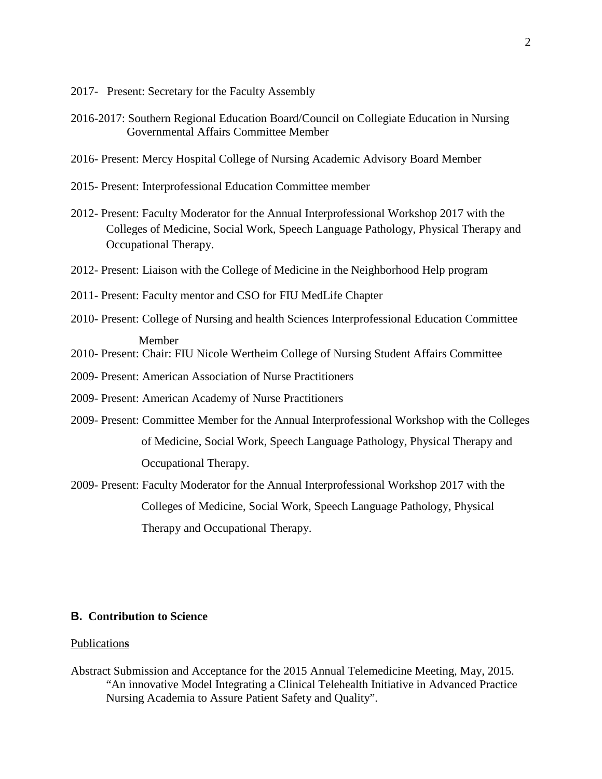- 2017- Present: Secretary for the Faculty Assembly
- 2016-2017: Southern Regional Education Board/Council on Collegiate Education in Nursing Governmental Affairs Committee Member
- 2016- Present: Mercy Hospital College of Nursing Academic Advisory Board Member
- 2015- Present: Interprofessional Education Committee member
- 2012- Present: Faculty Moderator for the Annual Interprofessional Workshop 2017 with the Colleges of Medicine, Social Work, Speech Language Pathology, Physical Therapy and Occupational Therapy.
- 2012- Present: Liaison with the College of Medicine in the Neighborhood Help program
- 2011- Present: Faculty mentor and CSO for FIU MedLife Chapter
- 2010- Present: College of Nursing and health Sciences Interprofessional Education Committee Member
- 2010- Present: Chair: FIU Nicole Wertheim College of Nursing Student Affairs Committee
- 2009- Present: American Association of Nurse Practitioners
- 2009- Present: American Academy of Nurse Practitioners
- 2009- Present: Committee Member for the Annual Interprofessional Workshop with the Colleges of Medicine, Social Work, Speech Language Pathology, Physical Therapy and Occupational Therapy.
- 2009- Present: Faculty Moderator for the Annual Interprofessional Workshop 2017 with the Colleges of Medicine, Social Work, Speech Language Pathology, Physical Therapy and Occupational Therapy.

## **B. Contribution to Science**

#### Publication**s**

Abstract Submission and Acceptance for the 2015 Annual Telemedicine Meeting, May, 2015. "An innovative Model Integrating a Clinical Telehealth Initiative in Advanced Practice Nursing Academia to Assure Patient Safety and Quality".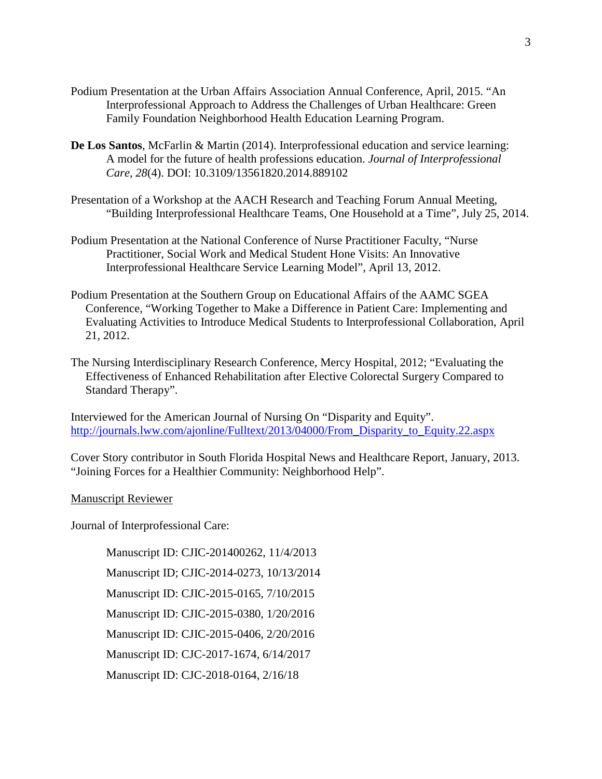- Podium Presentation at the Urban Affairs Association Annual Conference, April, 2015. "An Interprofessional Approach to Address the Challenges of Urban Healthcare: Green Family Foundation Neighborhood Health Education Learning Program.
- **De Los Santos**, McFarlin & Martin (2014). Interprofessional education and service learning: A model for the future of health professions education. *Journal of Interprofessional Care, 28*(4). DOI: 10.3109/13561820.2014.889102
- Presentation of a Workshop at the AACH Research and Teaching Forum Annual Meeting, "Building Interprofessional Healthcare Teams, One Household at a Time", July 25, 2014.
- Podium Presentation at the National Conference of Nurse Practitioner Faculty, "Nurse Practitioner, Social Work and Medical Student Hone Visits: An Innovative Interprofessional Healthcare Service Learning Model", April 13, 2012.
- Podium Presentation at the Southern Group on Educational Affairs of the AAMC SGEA Conference, "Working Together to Make a Difference in Patient Care: Implementing and Evaluating Activities to Introduce Medical Students to Interprofessional Collaboration, April 21, 2012.
- The Nursing Interdisciplinary Research Conference, Mercy Hospital, 2012; "Evaluating the Effectiveness of Enhanced Rehabilitation after Elective Colorectal Surgery Compared to Standard Therapy".

Interviewed for the American Journal of Nursing On "Disparity and Equity". [http://journals.lww.com/ajonline/Fulltext/2013/04000/From\\_Disparity\\_to\\_Equity.22.aspx](http://journals.lww.com/ajonline/Fulltext/2013/04000/From_Disparity_to_Equity.22.aspx)

Cover Story contributor in South Florida Hospital News and Healthcare Report, January, 2013. "Joining Forces for a Healthier Community: Neighborhood Help".

#### Manuscript Reviewer

Journal of Interprofessional Care:

Manuscript ID: CJIC-201400262, 11/4/2013 Manuscript ID; CJIC-2014-0273, 10/13/2014 Manuscript ID: CJIC-2015-0165, 7/10/2015 Manuscript ID: CJIC-2015-0380, 1/20/2016 Manuscript ID: CJIC-2015-0406, 2/20/2016 Manuscript ID: CJC-2017-1674, 6/14/2017 Manuscript ID: CJC-2018-0164, 2/16/18